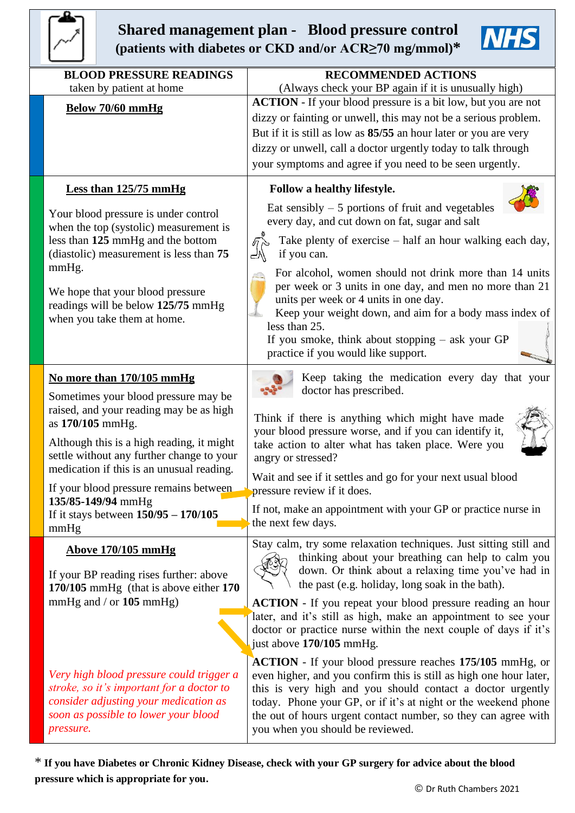

## **Shared management plan - Blood pressure control (patients with diabetes or CKD and/or ACR≥70 mg/mmol)\***

| <b>BLOOD PRESSURE READINGS</b><br>taken by patient at home                                                                                                                          | <b>RECOMMENDED ACTIONS</b><br>(Always check your BP again if it is unusually high)                                                                                                                                                                                                                                                                                                                                                                                                                                                     |  |  |  |  |
|-------------------------------------------------------------------------------------------------------------------------------------------------------------------------------------|----------------------------------------------------------------------------------------------------------------------------------------------------------------------------------------------------------------------------------------------------------------------------------------------------------------------------------------------------------------------------------------------------------------------------------------------------------------------------------------------------------------------------------------|--|--|--|--|
| Below 70/60 mmHg                                                                                                                                                                    | <b>ACTION</b> - If your blood pressure is a bit low, but you are not<br>dizzy or fainting or unwell, this may not be a serious problem.<br>But if it is still as low as 85/55 an hour later or you are very<br>dizzy or unwell, call a doctor urgently today to talk through<br>your symptoms and agree if you need to be seen urgently.                                                                                                                                                                                               |  |  |  |  |
| <b>Less than 125/75 mmHg</b>                                                                                                                                                        | Follow a healthy lifestyle.                                                                                                                                                                                                                                                                                                                                                                                                                                                                                                            |  |  |  |  |
| Your blood pressure is under control<br>when the top (systolic) measurement is<br>less than 125 mmHg and the bottom<br>(diastolic) measurement is less than 75<br>mmHg.             | Eat sensibly $-5$ portions of fruit and vegetables<br>every day, and cut down on fat, sugar and salt<br>$\sqrt{\pi}$<br>Take plenty of exercise – half an hour walking each day,<br>if you can.<br>For alcohol, women should not drink more than 14 units<br>per week or 3 units in one day, and men no more than 21<br>units per week or 4 units in one day.<br>Keep your weight down, and aim for a body mass index of<br>less than 25.<br>If you smoke, think about stopping $-$ ask your GP<br>practice if you would like support. |  |  |  |  |
| We hope that your blood pressure<br>readings will be below 125/75 mmHg<br>when you take them at home.                                                                               |                                                                                                                                                                                                                                                                                                                                                                                                                                                                                                                                        |  |  |  |  |
| No more than 170/105 mmHg                                                                                                                                                           | Keep taking the medication every day that your<br>doctor has prescribed.                                                                                                                                                                                                                                                                                                                                                                                                                                                               |  |  |  |  |
| Sometimes your blood pressure may be<br>raised, and your reading may be as high<br>as 170/105 mmHg.<br>Although this is a high reading, it might                                    | Think if there is anything which might have made<br>your blood pressure worse, and if you can identify it,                                                                                                                                                                                                                                                                                                                                                                                                                             |  |  |  |  |
| settle without any further change to your<br>medication if this is an unusual reading.                                                                                              | take action to alter what has taken place. Were you<br>angry or stressed?                                                                                                                                                                                                                                                                                                                                                                                                                                                              |  |  |  |  |
| If your blood pressure remains between<br>135/85-149/94 mmHg                                                                                                                        | Wait and see if it settles and go for your next usual blood<br>pressure review if it does.                                                                                                                                                                                                                                                                                                                                                                                                                                             |  |  |  |  |
| If it stays between $150/95 - 170/105$<br>mmHg                                                                                                                                      | If not, make an appointment with your GP or practice nurse in<br>the next few days.                                                                                                                                                                                                                                                                                                                                                                                                                                                    |  |  |  |  |
| <b>Above 170/105 mmHg</b><br>If your BP reading rises further: above<br>170/105 mmHg (that is above either 170                                                                      | Stay calm, try some relaxation techniques. Just sitting still and<br>thinking about your breathing can help to calm you<br>down. Or think about a relaxing time you've had in<br>the past (e.g. holiday, long soak in the bath).                                                                                                                                                                                                                                                                                                       |  |  |  |  |
| mmHg and $/$ or 105 mmHg)                                                                                                                                                           | <b>ACTION</b> - If you repeat your blood pressure reading an hour<br>later, and it's still as high, make an appointment to see your<br>doctor or practice nurse within the next couple of days if it's<br>just above 170/105 mmHg.                                                                                                                                                                                                                                                                                                     |  |  |  |  |
| Very high blood pressure could trigger a<br>stroke, so it's important for a doctor to<br>consider adjusting your medication as<br>soon as possible to lower your blood<br>pressure. | <b>ACTION</b> - If your blood pressure reaches 175/105 mmHg, or<br>even higher, and you confirm this is still as high one hour later,<br>this is very high and you should contact a doctor urgently<br>today. Phone your GP, or if it's at night or the weekend phone<br>the out of hours urgent contact number, so they can agree with<br>you when you should be reviewed.                                                                                                                                                            |  |  |  |  |

\* **If you have Diabetes or Chronic Kidney Disease, check with your GP surgery for advice about the blood pressure which is appropriate for you.**

**NH**